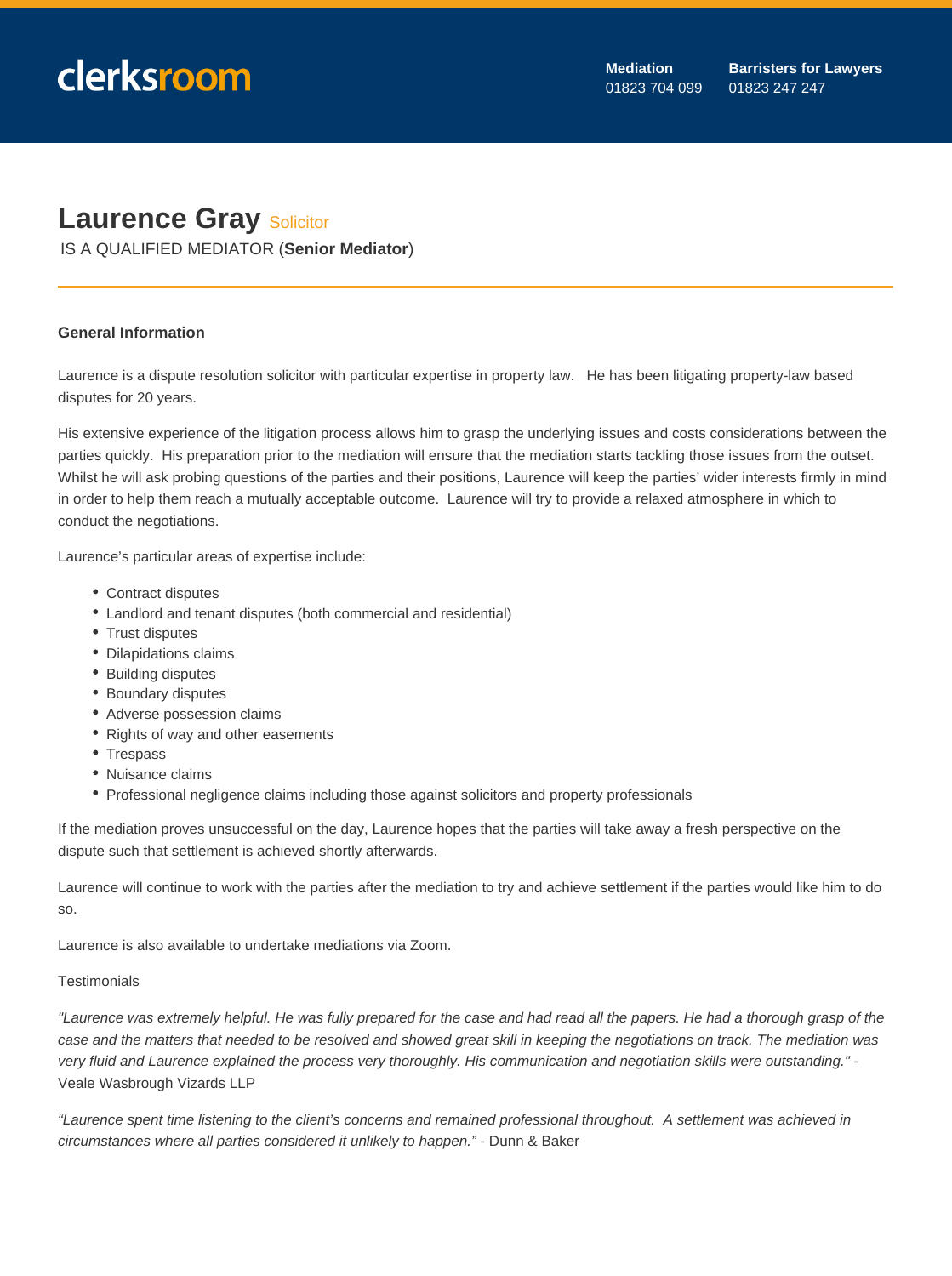## **Laurence Gray Solicitor**

IS A QUALIFIED MEDIATOR (**Senior Mediator**)

## **General Information**

Laurence is a dispute resolution solicitor with particular expertise in property law. He has been litigating property-law based disputes for 20 years.

His extensive experience of the litigation process allows him to grasp the underlying issues and costs considerations between the parties quickly. His preparation prior to the mediation will ensure that the mediation starts tackling those issues from the outset. Whilst he will ask probing questions of the parties and their positions, Laurence will keep the parties' wider interests firmly in mind in order to help them reach a mutually acceptable outcome. Laurence will try to provide a relaxed atmosphere in which to conduct the negotiations.

Laurence's particular areas of expertise include:

- Contract disputes
- Landlord and tenant disputes (both commercial and residential)
- Trust disputes
- Dilapidations claims
- Building disputes
- Boundary disputes
- Adverse possession claims
- Rights of way and other easements
- Trespass
- Nuisance claims
- Professional negligence claims including those against solicitors and property professionals

If the mediation proves unsuccessful on the day, Laurence hopes that the parties will take away a fresh perspective on the dispute such that settlement is achieved shortly afterwards.

Laurence will continue to work with the parties after the mediation to try and achieve settlement if the parties would like him to do so.

Laurence is also available to undertake mediations via Zoom.

## **Testimonials**

"Laurence was extremely helpful. He was fully prepared for the case and had read all the papers. He had a thorough grasp of the case and the matters that needed to be resolved and showed great skill in keeping the negotiations on track. The mediation was very fluid and Laurence explained the process very thoroughly. His communication and negotiation skills were outstanding." - Veale Wasbrough Vizards LLP

"Laurence spent time listening to the client's concerns and remained professional throughout. A settlement was achieved in circumstances where all parties considered it unlikely to happen." - Dunn & Baker